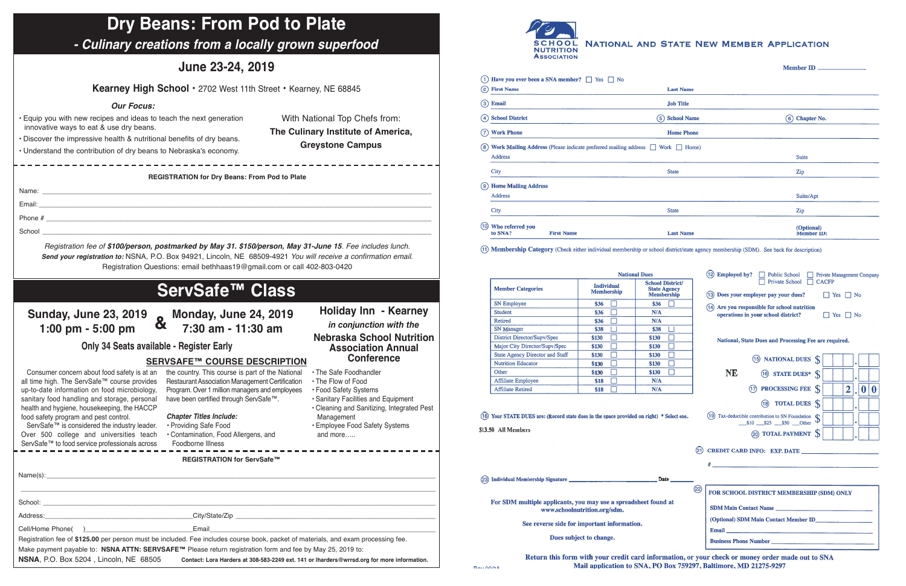

NATIONAL AND STATE NEW MEMBER APPLICATION

|     |                                  | (1) Have you ever been a SNA member? $\Box$ Yes $\Box$ No                                    |                   |                                 |  |
|-----|----------------------------------|----------------------------------------------------------------------------------------------|-------------------|---------------------------------|--|
|     | (2) First Name                   |                                                                                              | <b>Last Name</b>  |                                 |  |
|     | (3) Email                        |                                                                                              | <b>Job Title</b>  |                                 |  |
|     | (4) School District              |                                                                                              | (5) School Name   | Chapter No.<br>(6)              |  |
| (7) | <b>Work Phone</b>                |                                                                                              | <b>Home Phone</b> |                                 |  |
|     |                                  | (8) Work Mailing Address (Please indicate preferred mailing address $\Box$ Work $\Box$ Home) |                   |                                 |  |
|     | Address                          |                                                                                              |                   | <b>Suite</b>                    |  |
|     | <b>City</b>                      |                                                                                              | <b>State</b>      | Zip                             |  |
|     | (9) Home Mailing Address         |                                                                                              |                   |                                 |  |
|     | <b>Address</b>                   |                                                                                              |                   | Suite/Apt                       |  |
|     | City                             |                                                                                              | <b>State</b>      | Zip                             |  |
|     | (10) Who referred you<br>to SNA? | <b>First Name</b>                                                                            | <b>Last Name</b>  | (Optional)<br><b>Member ID:</b> |  |

(1) Membership Category (Check either individual membership or school district/state agency membership (SDM). See back for description)

|                                                                                                              |                                        | <b>National Dues</b>                                                                                                                                            | (12) Employed by? Deublic School Private Management Company                                                          |  |  |
|--------------------------------------------------------------------------------------------------------------|----------------------------------------|-----------------------------------------------------------------------------------------------------------------------------------------------------------------|----------------------------------------------------------------------------------------------------------------------|--|--|
| <b>Member Categories</b>                                                                                     | <b>Individual</b><br><b>Membership</b> | <b>School District/</b><br><b>State Agency</b><br><b>Membership</b>                                                                                             | Private School $\Box$<br><b>CACFP</b><br>(13) Does your employer pay your dues?<br>$\vert$   Yes     No              |  |  |
| <b>SN Employee</b>                                                                                           | \$36<br>П                              | $\Box$<br>\$36                                                                                                                                                  | (14) Are you responsible for school nutrition                                                                        |  |  |
| <b>Student</b>                                                                                               | \$36<br>ż,                             | N/A                                                                                                                                                             | operations in your school district?<br>Yes $\Box$ No                                                                 |  |  |
| <b>Retired</b>                                                                                               | \$36<br>T.                             | N/A                                                                                                                                                             |                                                                                                                      |  |  |
| <b>SN</b> Manager                                                                                            | \$38<br>J.                             | $\Box$<br>\$38                                                                                                                                                  |                                                                                                                      |  |  |
| District Director/Supv/Spec                                                                                  | \$130<br>×                             | г<br>\$130                                                                                                                                                      | National, State Dues and Processing Fee are required.                                                                |  |  |
| Major City Director/Supv/Spec                                                                                | \$130                                  | Г<br>\$130                                                                                                                                                      |                                                                                                                      |  |  |
| <b>State Agency Director and Staff</b>                                                                       | \$130<br>×                             | П<br>\$130                                                                                                                                                      |                                                                                                                      |  |  |
| <b>Nutrition Educator</b>                                                                                    | \$130                                  | $\overline{\Box}$<br>\$130                                                                                                                                      | (15) NATIONAL DUES S                                                                                                 |  |  |
| Other                                                                                                        | \$130<br>J.                            | П<br>\$130                                                                                                                                                      | <b>NE</b><br>(16) STATE DUES* S                                                                                      |  |  |
| <b>Affiliate Employee</b>                                                                                    | \$18                                   | N/A                                                                                                                                                             |                                                                                                                      |  |  |
| <b>Affiliate Retired</b>                                                                                     | \$18                                   | N/A                                                                                                                                                             | $\overline{2}$<br>$\bigoplus$<br><b>PROCESSING FEE</b> S<br> 0 <br>$\bf{0}$                                          |  |  |
| Your STATE DUES are: (Record state dues in the space provided on right) * Select one.<br>\$13.50 All Members |                                        | <b>TOTAL DUES</b> S<br>(18)<br>(19) Tax-deductible contribution to SN Foundation $\int_{\cos \theta}$<br>$$10$ $$25$ $$50$ Other<br>@ TOTAL PAYMENT S           |                                                                                                                      |  |  |
|                                                                                                              |                                        |                                                                                                                                                                 | CREDIT CARD INFO: EXP. DATE<br>(21)                                                                                  |  |  |
|                                                                                                              |                                        |                                                                                                                                                                 | <u> 1980 - Januar Stein, margaret amerikan beste beste beste beste beste beste beste beste beste beste beste bes</u> |  |  |
| Individual Membership Signature                                                                              |                                        | $_$ Date $_$                                                                                                                                                    |                                                                                                                      |  |  |
|                                                                                                              |                                        | ඥ<br>FOR SCHOOL DISTRICT MEMBERSHIP (SDM) ONLY                                                                                                                  |                                                                                                                      |  |  |
| For SDM multiple applicants, you may use a spreadsheet found at                                              | www.schoolnutrition.org/sdm.           | SDM Main Contact Name<br><b>Email</b> <u><b>Email</b></u> <b>Email <i>Email</i> Email <i>Email</i> Email <i>Email</i> Email</b><br><b>Business Phone Number</b> |                                                                                                                      |  |  |
| See reverse side for important information.                                                                  |                                        |                                                                                                                                                                 |                                                                                                                      |  |  |
|                                                                                                              | Dues subject to change.                |                                                                                                                                                                 |                                                                                                                      |  |  |

Return this form with your credit card information, or your check or money order made out to SNA Mail application to SNA, PO Box 759297, Baltimore, MD 21275-9297